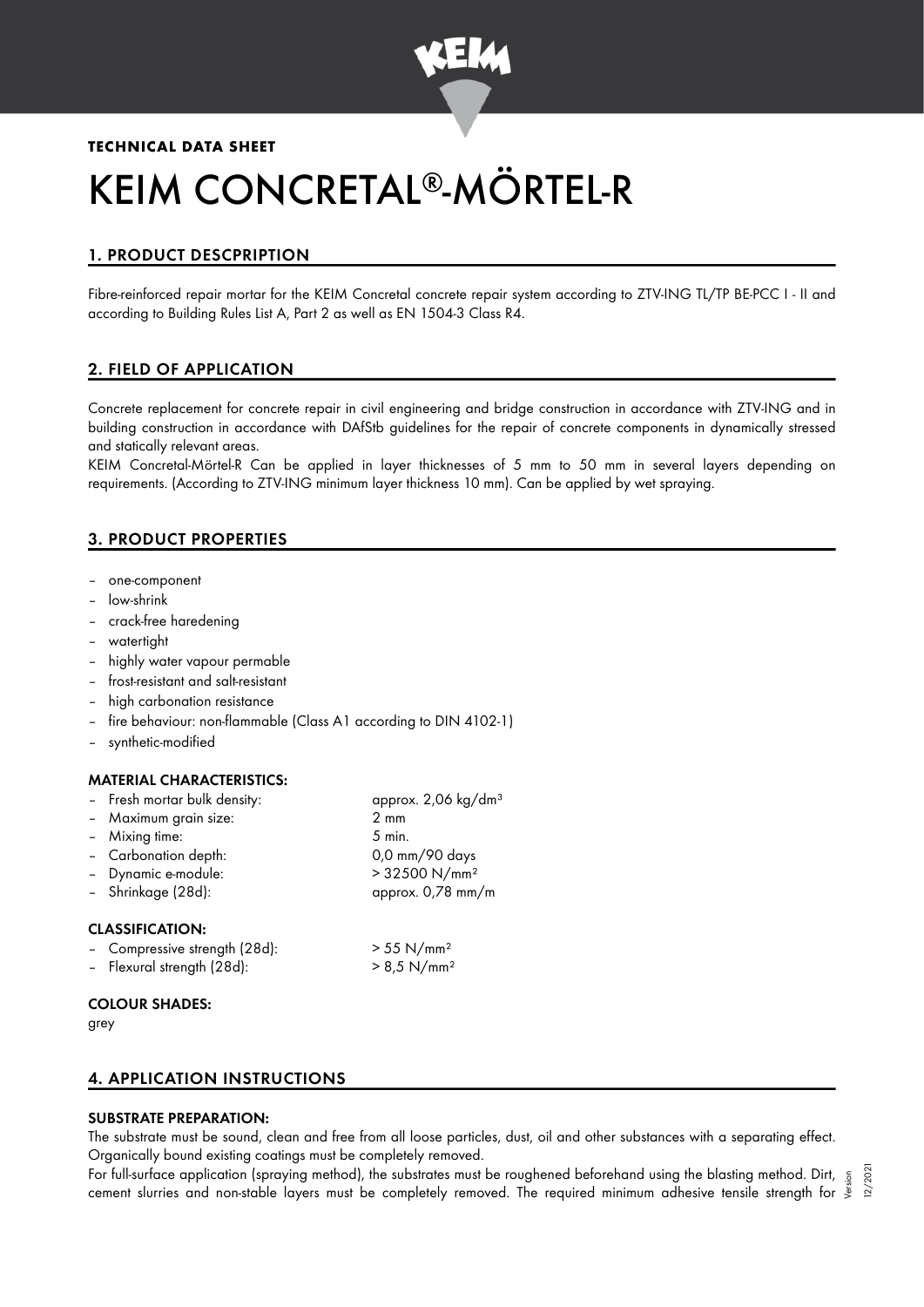

# **TECHNICAL DATA SHEET**

# KEIM CONCRETAL®-MÖRTEL-R

# 1. PRODUCT DESCPRIPTION

Fibre-reinforced repair mortar for the KEIM Concretal concrete repair system according to ZTV-ING TL/TP BE-PCC I - II and according to Building Rules List A, Part 2 as well as EN 1504-3 Class R4.

# 2. FIELD OF APPLICATION

Concrete replacement for concrete repair in civil engineering and bridge construction in accordance with ZTV-ING and in building construction in accordance with DAfStb guidelines for the repair of concrete components in dynamically stressed and statically relevant areas.

KEIM Concretal-Mörtel-R Can be applied in layer thicknesses of 5 mm to 50 mm in several layers depending on requirements. (According to ZTV-ING minimum layer thickness 10 mm). Can be applied by wet spraying.

# 3. PRODUCT PROPERTIES

- one-component
- low-shrink
- crack-free haredening
- watertiaht
- highly water vapour permable
- frost-resistant and salt-resistant
- high carbonation resistance
- fire behaviour: non-flammable (Class A1 according to DIN 4102-1)
- synthetic-modified

#### MATERIAL CHARACTERISTICS:

| - Fresh mortar bulk density:            | approx. 2,06 kg/dm <sup>3</sup> |
|-----------------------------------------|---------------------------------|
| - Maximum grain size:                   | $2 \text{ mm}$                  |
| - Mixing time:                          | $5$ min.                        |
| - Carbonation depth:                    | 0,0 mm/90 days                  |
| - Dynamic e-module:                     | > 32500 N/mm <sup>2</sup>       |
| - Shrinkage (28d):                      | approx. 0,78 mm/m               |
| <b>CLASSIFICATION:</b>                  |                                 |
| $C_{\text{current}}$ $\mathbb{E}[O(1)]$ | $\sim$ E E N $/_{\text{max}}$ 2 |

| - Compressive strength (28d): | $> 55$ N/mm <sup>2</sup>  |
|-------------------------------|---------------------------|
| - Flexural strength (28d):    | $> 8.5$ N/mm <sup>2</sup> |

#### COLOUR SHADES:

grey

# 4. APPLICATION INSTRUCTIONS

# SUBSTRATE PREPARATION:

The substrate must be sound, clean and free from all loose particles, dust, oil and other substances with a separating effect. Organically bound existing coatings must be completely removed.

For full-surface application (spraying method), the substrates must be roughened beforehand using the blasting method. Dirt, 5 For full-surface application (spraying method), the substrates must be roughened beforehand using the blasting method. Dirt, <sub>.</sub> 5<br>« cement slurries and non-stable layers must be completely removed. The required minimum ad 12/2021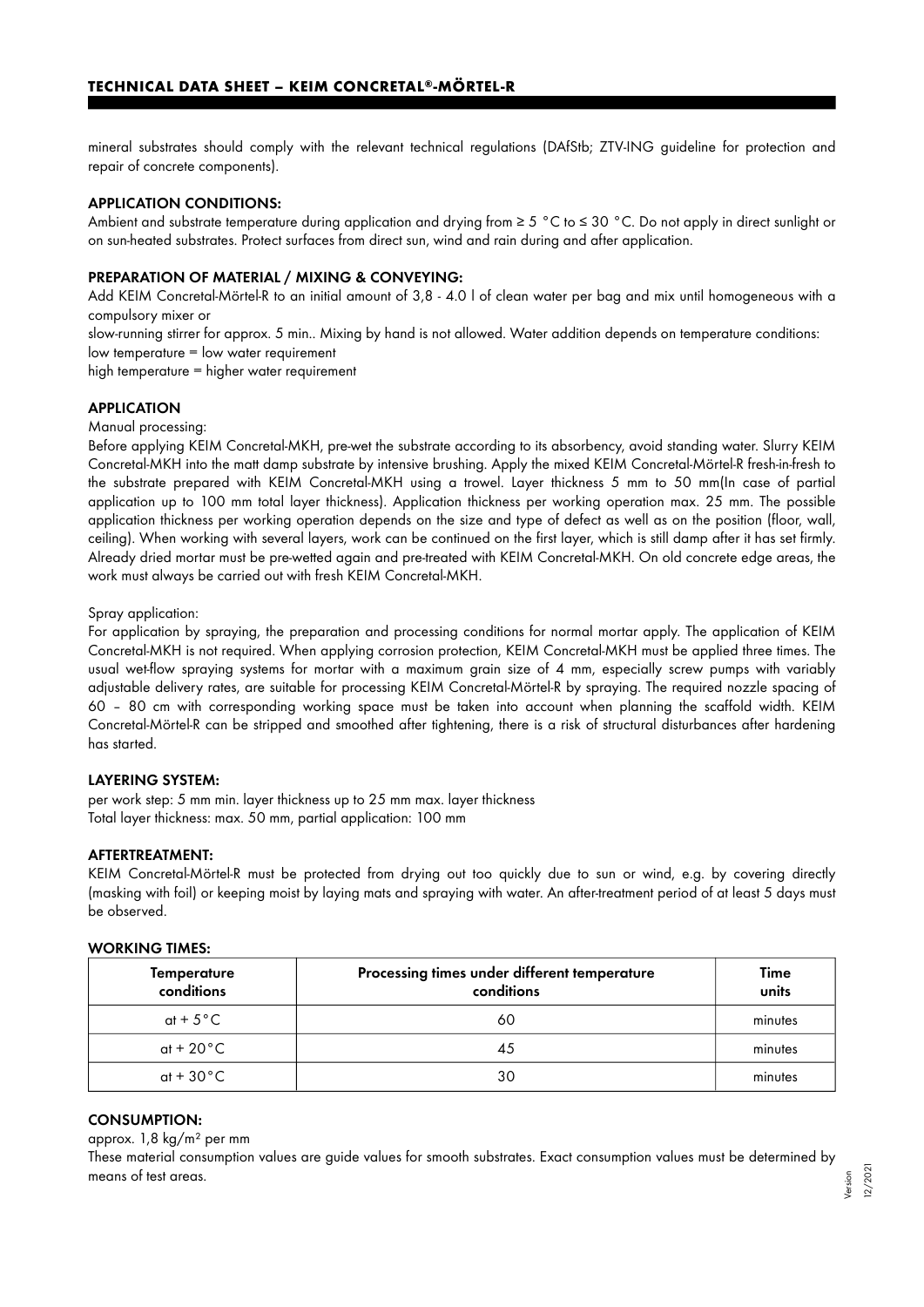mineral substrates should comply with the relevant technical regulations (DAfStb; ZTV-ING guideline for protection and repair of concrete components).

### APPLICATION CONDITIONS:

Ambient and substrate temperature during application and drying from ≥ 5 °C to ≤ 30 °C. Do not apply in direct sunlight or on sun-heated substrates. Protect surfaces from direct sun, wind and rain during and after application.

### PREPARATION OF MATERIAL / MIXING & CONVEYING:

Add KEIM Concretal-Mörtel-R to an initial amount of 3,8 - 4.0 l of clean water per bag and mix until homogeneous with a compulsory mixer or

slow-running stirrer for approx. 5 min.. Mixing by hand is not allowed. Water addition depends on temperature conditions: low temperature = low water requirement

high temperature = higher water requirement

#### **APPLICATION**

Manual processing:

Before applying KEIM Concretal-MKH, pre-wet the substrate according to its absorbency, avoid standing water. Slurry KEIM Concretal-MKH into the matt damp substrate by intensive brushing. Apply the mixed KEIM Concretal-Mörtel-R fresh-in-fresh to the substrate prepared with KEIM Concretal-MKH using a trowel. Layer thickness 5 mm to 50 mm(In case of partial application up to 100 mm total layer thickness). Application thickness per working operation max. 25 mm. The possible application thickness per working operation depends on the size and type of defect as well as on the position (floor, wall, ceiling). When working with several layers, work can be continued on the first layer, which is still damp after it has set firmly. Already dried mortar must be pre-wetted again and pre-treated with KEIM Concretal-MKH. On old concrete edge areas, the work must always be carried out with fresh KEIM Concretal-MKH.

Spray application:

For application by spraying, the preparation and processing conditions for normal mortar apply. The application of KEIM Concretal-MKH is not required. When applying corrosion protection, KEIM Concretal-MKH must be applied three times. The usual wet-flow spraying systems for mortar with a maximum grain size of 4 mm, especially screw pumps with variably adjustable delivery rates, are suitable for processing KEIM Concretal-Mörtel-R by spraying. The required nozzle spacing of 60 – 80 cm with corresponding working space must be taken into account when planning the scaffold width. KEIM Concretal-Mörtel-R can be stripped and smoothed after tightening, there is a risk of structural disturbances after hardening has started.

#### LAYERING SYSTEM:

per work step: 5 mm min. layer thickness up to 25 mm max. layer thickness Total layer thickness: max. 50 mm, partial application: 100 mm

#### AFTERTREATMENT:

KEIM Concretal-Mörtel-R must be protected from drying out too quickly due to sun or wind, e.g. by covering directly (masking with foil) or keeping moist by laying mats and spraying with water. An after-treatment period of at least 5 days must be observed.

| WORKING TIMES:                   |                                                            |               |  |  |
|----------------------------------|------------------------------------------------------------|---------------|--|--|
| <b>Temperature</b><br>conditions | Processing times under different temperature<br>conditions | Time<br>units |  |  |
| at + $5^{\circ}$ C               | 60                                                         | minutes       |  |  |
| at + 20 $^{\circ}$ C             | 45                                                         | minutes       |  |  |
| at + $30^{\circ}$ C              | 30                                                         | minutes       |  |  |

#### CONSUMPTION:

approx. 1,8 kg/m² per mm

These material consumption values are guide values for smooth substrates. Exact consumption values must be determined by means of test areas.